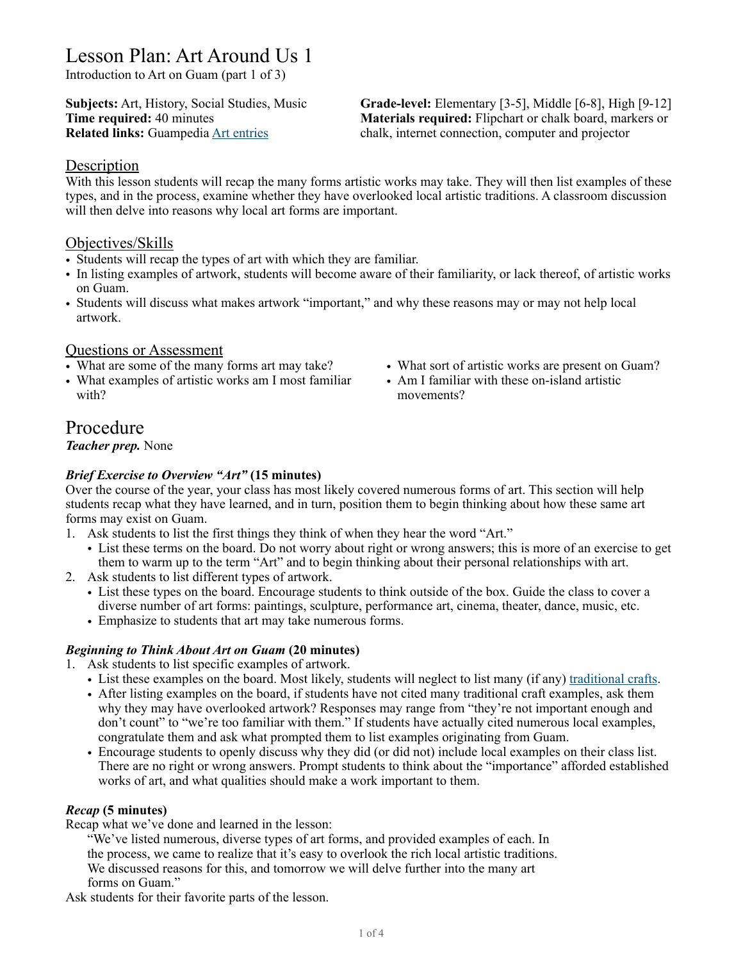# Lesson Plan: Art Around Us 1

Introduction to Art on Guam (part 1 of 3)

**Subjects:** Art, History, Social Studies, Music **Grade-level:** Elementary [3-5], Middle [6-8], High [9-12] **Time required:** 40 minutes **Materials required:** Flipchart or chalk board, markers or **Related links:** Guampedia [Art entries](https://www.guampedia.com/art/) chalk, internet connection, computer and projector

#### **Description**

With this lesson students will recap the many forms artistic works may take. They will then list examples of these types, and in the process, examine whether they have overlooked local artistic traditions. A classroom discussion will then delve into reasons why local art forms are important.

#### Objectives/Skills

- Students will recap the types of art with which they are familiar.
- In listing examples of artwork, students will become aware of their familiarity, or lack thereof, of artistic works on Guam.
- Students will discuss what makes artwork "important," and why these reasons may or may not help local artwork.

#### Questions or Assessment

- What are some of the many forms art may take?
- What examples of artistic works am I most familiar with?
- What sort of artistic works are present on Guam?
- Am I familiar with these on-island artistic movements?

## Procedure

*Teacher prep.* None

#### *Brief Exercise to Overview "Art"* **(15 minutes)**

Over the course of the year, your class has most likely covered numerous forms of art. This section will help students recap what they have learned, and in turn, position them to begin thinking about how these same art forms may exist on Guam.

- 1. Ask students to list the first things they think of when they hear the word "Art."
	- List these terms on the board. Do not worry about right or wrong answers; this is more of an exercise to get them to warm up to the term "Art" and to begin thinking about their personal relationships with art.
- 2. Ask students to list different types of artwork.
	- List these types on the board. Encourage students to think outside of the box. Guide the class to cover a diverse number of art forms: paintings, sculpture, performance art, cinema, theater, dance, music, etc.
	- Emphasize to students that art may take numerous forms.

#### *Beginning to Think About Art on Guam* **(20 minutes)**

1. Ask students to list specific examples of artwork.

- List these examples on the board. Most likely, students will neglect to list many (if any) [traditional crafts.](https://www.guampedia.com/art/traditional-craft/)
- After listing examples on the board, if students have not cited many traditional craft examples, ask them why they may have overlooked artwork? Responses may range from "they're not important enough and don't count" to "we're too familiar with them." If students have actually cited numerous local examples, congratulate them and ask what prompted them to list examples originating from Guam.
- Encourage students to openly discuss why they did (or did not) include local examples on their class list. There are no right or wrong answers. Prompt students to think about the "importance" afforded established works of art, and what qualities should make a work important to them.

#### *Recap* **(5 minutes)**

Recap what we've done and learned in the lesson:

"We've listed numerous, diverse types of art forms, and provided examples of each. In the process, we came to realize that it's easy to overlook the rich local artistic traditions. We discussed reasons for this, and tomorrow we will delve further into the many art forms on Guam."

Ask students for their favorite parts of the lesson.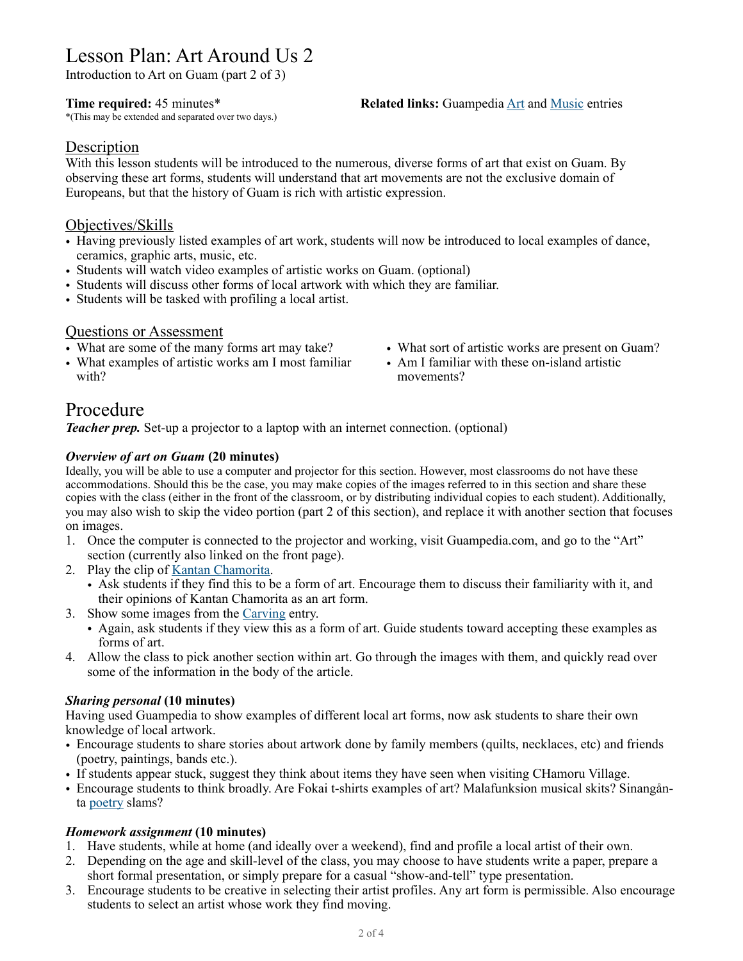# Lesson Plan: Art Around Us 2

Introduction to Art on Guam (part 2 of 3)

\*(This may be extended and separated over two days.)

#### **Time required:** 45 minutes\* **Related links:** Guampedia [Art](https://www.guampedia.com/art/) and [Music](https://www.guampedia.com/category/art-architecture-music-food/music/) entries

#### **Description**

With this lesson students will be introduced to the numerous, diverse forms of art that exist on Guam. By observing these art forms, students will understand that art movements are not the exclusive domain of Europeans, but that the history of Guam is rich with artistic expression.

#### Objectives/Skills

- Having previously listed examples of art work, students will now be introduced to local examples of dance, ceramics, graphic arts, music, etc.
- Students will watch video examples of artistic works on Guam. (optional)
- Students will discuss other forms of local artwork with which they are familiar.
- Students will be tasked with profiling a local artist.

#### Questions or Assessment

- What are some of the many forms art may take?
- What examples of artistic works am I most familiar with?
- What sort of artistic works are present on Guam?
- Am I familiar with these on-island artistic movements?

## Procedure

*Teacher prep.* Set-up a projector to a laptop with an internet connection. (optional)

#### *Overview of art on Guam* **(20 minutes)**

Ideally, you will be able to use a computer and projector for this section. However, most classrooms do not have these accommodations. Should this be the case, you may make copies of the images referred to in this section and share these copies with the class (either in the front of the classroom, or by distributing individual copies to each student). Additionally, you may also wish to skip the video portion (part 2 of this section), and replace it with another section that focuses on images.

- 1. Once the computer is connected to the projector and working, visit Guampedia.com, and go to the "Art" section (currently also linked on the front page).
- 2. Play the clip of [Kantan Chamorita.](https://www.guampedia.com/kantan-chamorita-2/)
	- Ask students if they find this to be a form of art. Encourage them to discuss their familiarity with it, and their opinions of Kantan Chamorita as an art form.
- 3. Show some images from the [Carving](https://www.guampedia.com/carving/) entry.
	- Again, ask students if they view this as a form of art. Guide students toward accepting these examples as forms of art.
- 4. Allow the class to pick another section within art. Go through the images with them, and quickly read over some of the information in the body of the article.

#### *Sharing personal* **(10 minutes)**

Having used Guampedia to show examples of different local art forms, now ask students to share their own knowledge of local artwork.

- Encourage students to share stories about artwork done by family members (quilts, necklaces, etc) and friends (poetry, paintings, bands etc.).
- If students appear stuck, suggest they think about items they have seen when visiting CHamoru Village.
- Encourage students to think broadly. Are Fokai t-shirts examples of art? Malafunksion musical skits? Sinangånta [poetry](https://www.guampedia.com/poetryspoken-word/) slams?

#### *Homework assignment* **(10 minutes)**

- 1. Have students, while at home (and ideally over a weekend), find and profile a local artist of their own.
- 2. Depending on the age and skill-level of the class, you may choose to have students write a paper, prepare a short formal presentation, or simply prepare for a casual "show-and-tell" type presentation.
- 3. Encourage students to be creative in selecting their artist profiles. Any art form is permissible. Also encourage students to select an artist whose work they find moving.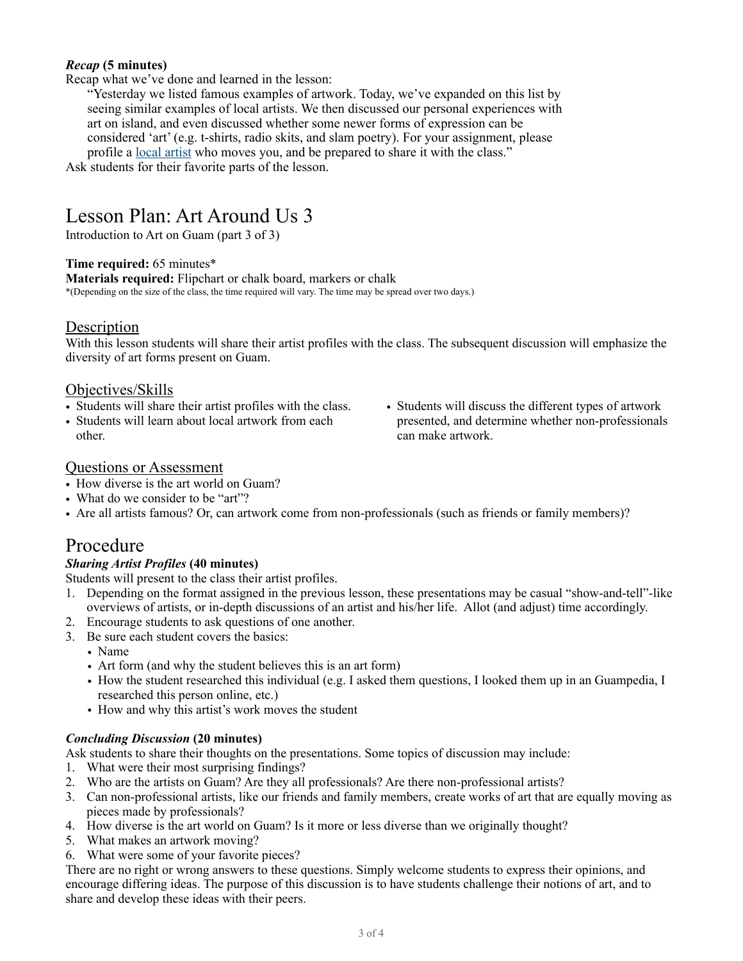#### *Recap* **(5 minutes)**

Recap what we've done and learned in the lesson:

"Yesterday we listed famous examples of artwork. Today, we've expanded on this list by seeing similar examples of local artists. We then discussed our personal experiences with art on island, and even discussed whether some newer forms of expression can be considered 'art' (e.g. t-shirts, radio skits, and slam poetry). For your assignment, please profile a [local artist](https://www.guampedia.com/art/guams-artists/) who moves you, and be prepared to share it with the class."

Ask students for their favorite parts of the lesson.

# Lesson Plan: Art Around Us 3

Introduction to Art on Guam (part 3 of 3)

#### **Time required:** 65 minutes\*

**Materials required:** Flipchart or chalk board, markers or chalk

\*(Depending on the size of the class, the time required will vary. The time may be spread over two days.)

### **Description**

With this lesson students will share their artist profiles with the class. The subsequent discussion will emphasize the diversity of art forms present on Guam.

### Objectives/Skills

- Students will share their artist profiles with the class.
- Students will learn about local artwork from each other.
- Students will discuss the different types of artwork presented, and determine whether non-professionals can make artwork.

#### Questions or Assessment

- How diverse is the art world on Guam?
- What do we consider to be "art"?
- Are all artists famous? Or, can artwork come from non-professionals (such as friends or family members)?

### Procedure

#### *Sharing Artist Profiles* **(40 minutes)**

Students will present to the class their artist profiles.

- 1. Depending on the format assigned in the previous lesson, these presentations may be casual "show-and-tell"-like overviews of artists, or in-depth discussions of an artist and his/her life. Allot (and adjust) time accordingly.
- 2. Encourage students to ask questions of one another.
- 3. Be sure each student covers the basics:
	- Name
	- Art form (and why the student believes this is an art form)
	- How the student researched this individual (e.g. I asked them questions, I looked them up in an Guampedia, I researched this person online, etc.)
	- How and why this artist's work moves the student

#### *Concluding Discussion* **(20 minutes)**

Ask students to share their thoughts on the presentations. Some topics of discussion may include:

- 1. What were their most surprising findings?
- 2. Who are the artists on Guam? Are they all professionals? Are there non-professional artists?
- 3. Can non-professional artists, like our friends and family members, create works of art that are equally moving as pieces made by professionals?
- 4. How diverse is the art world on Guam? Is it more or less diverse than we originally thought?
- 5. What makes an artwork moving?
- 6. What were some of your favorite pieces?

There are no right or wrong answers to these questions. Simply welcome students to express their opinions, and encourage differing ideas. The purpose of this discussion is to have students challenge their notions of art, and to share and develop these ideas with their peers.